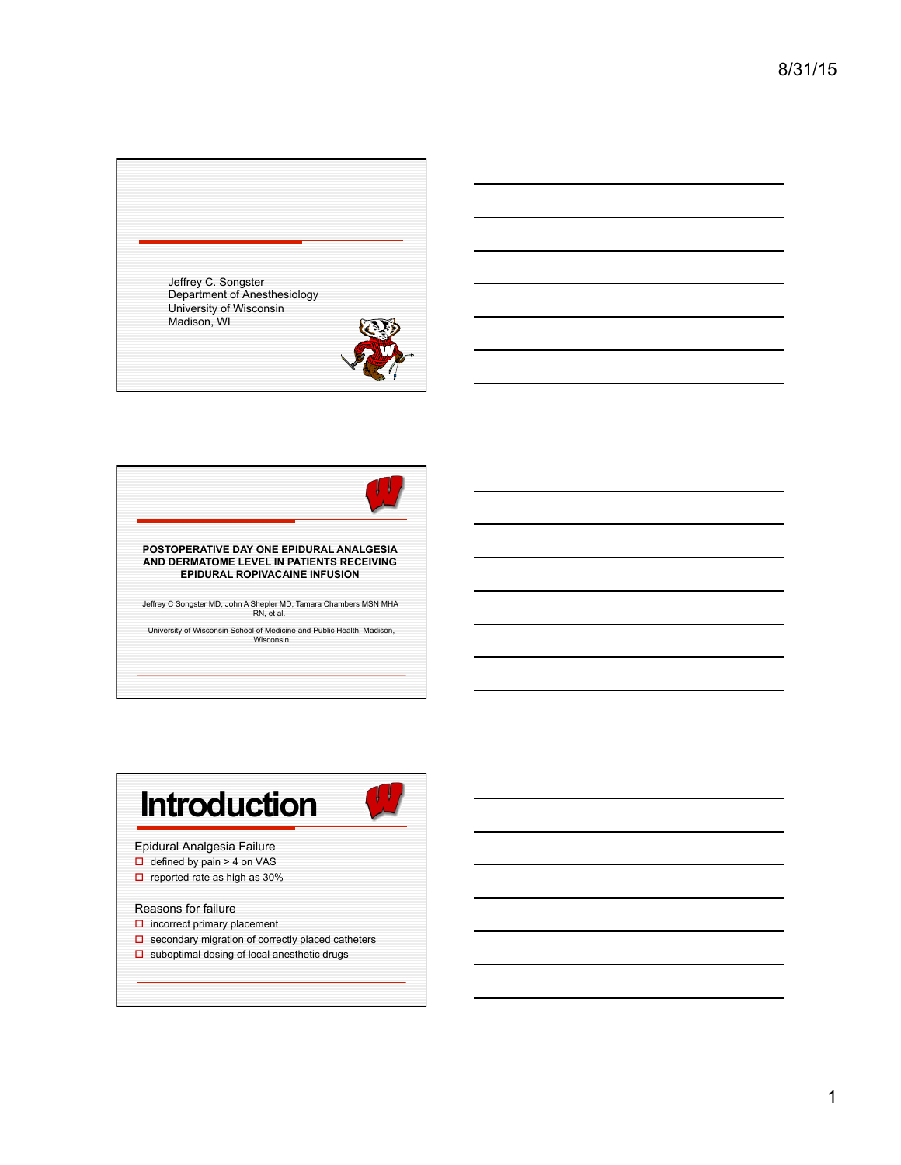Jeffrey C. Songster Department of Anesthesiology University of Wisconsin Madison, WI







Reasons for failure

- $\square$  incorrect primary placement
- $\square$  secondary migration of correctly placed catheters
- $\square$  suboptimal dosing of local anesthetic drugs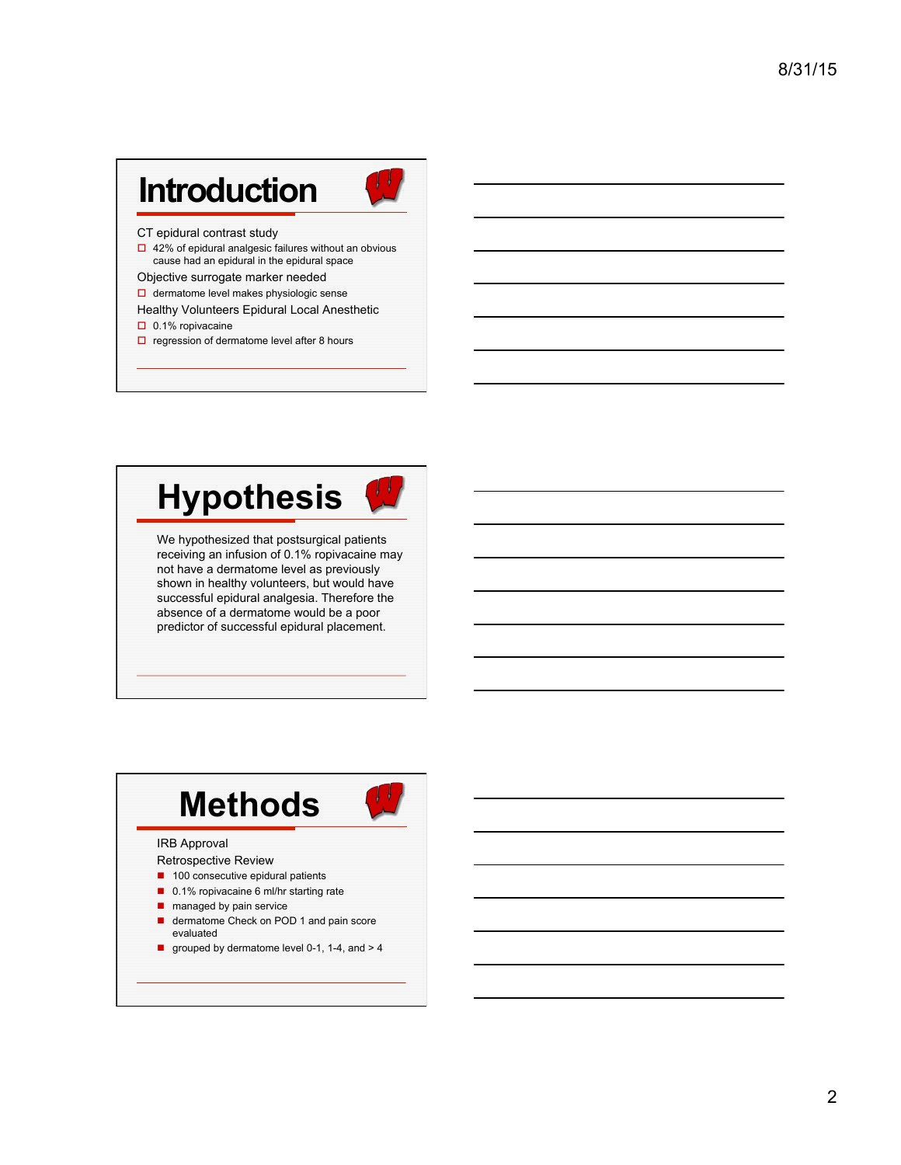| Introduction                                                                               |  |
|--------------------------------------------------------------------------------------------|--|
| CT epidural contrast study<br>$\Box$ 42% of epidural analgesic failures without an obvious |  |

- cause had an epidural in the epidural space Objective surrogate marker needed
- $\Box$  dermatome level makes physiologic sense
- Healthy Volunteers Epidural Local Anesthetic
- $\Box$  0.1% ropivacaine
- $\square$  regression of dermatome level after 8 hours



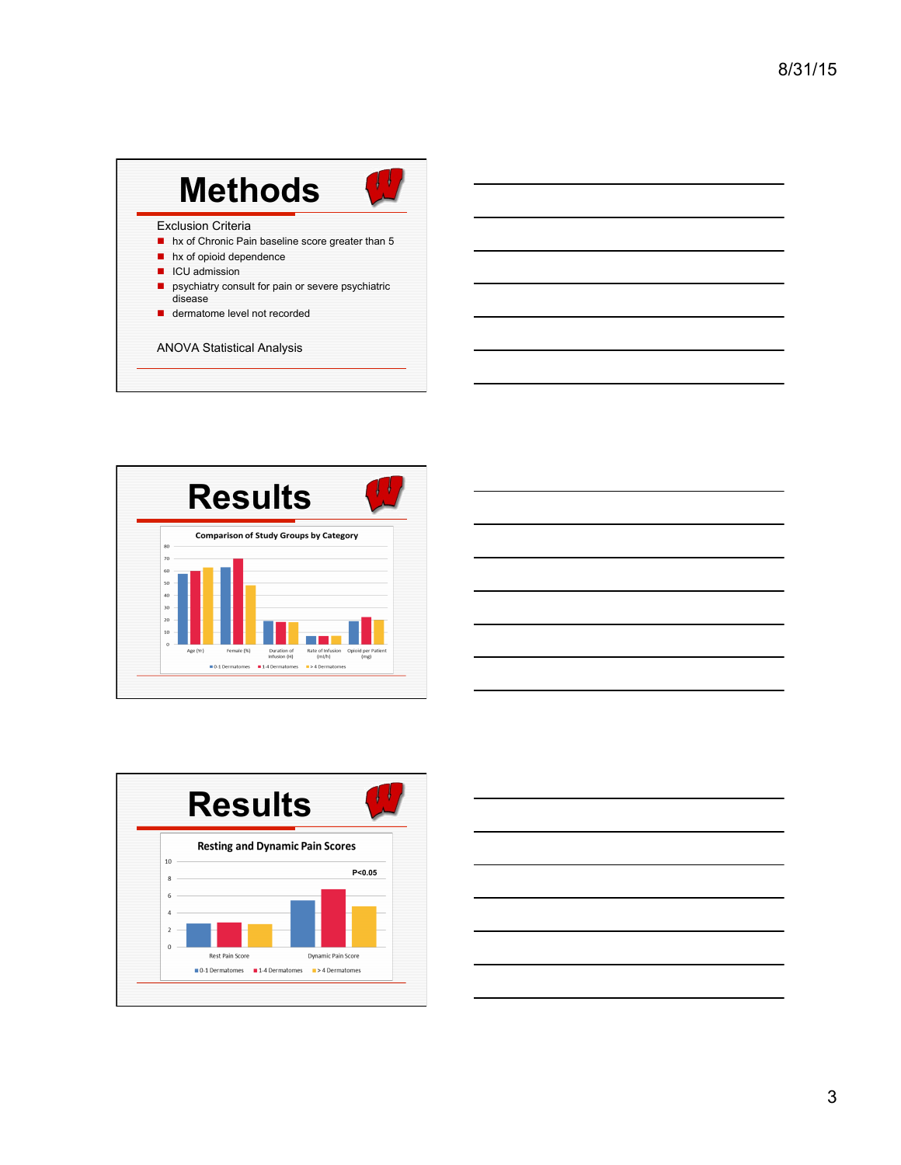| <b>Exclusion Criteria</b><br>hx of Chronic Pain baseline score greater than 5<br>hx of opioid dependence<br>ICU admission<br>psychiatry consult for pain or severe psychiatric<br>disease<br>dermatome level not recorded | <b>Methods</b> |
|---------------------------------------------------------------------------------------------------------------------------------------------------------------------------------------------------------------------------|----------------|
|                                                                                                                                                                                                                           |                |
|                                                                                                                                                                                                                           |                |







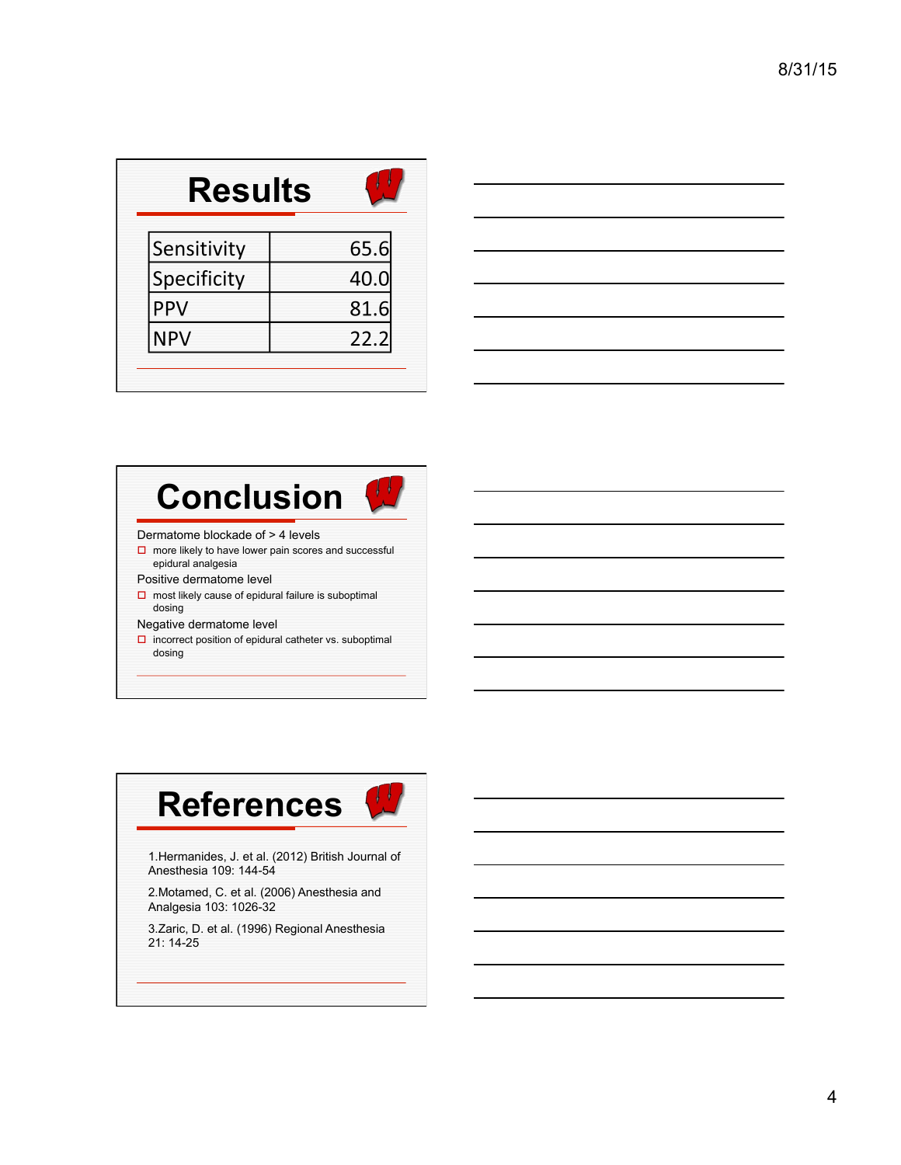| <b>Results</b> |      |
|----------------|------|
| Sensitivity    | 65.6 |
| Specificity    | 40.0 |
| <b>PPV</b>     | 81.6 |
| <b>NPV</b>     | 22.2 |
|                |      |





- Dermatome blockade of > 4 levels
- $\square$  more likely to have lower pain scores and successful epidural analgesia
- Positive dermatome level
- $\square$  most likely cause of epidural failure is suboptimal dosing
- Negative dermatome level
- $\square$  incorrect position of epidural catheter vs. suboptimal dosing



1.Hermanides, J. et al. (2012) British Journal of Anesthesia 109: 144-54

2.Motamed, C. et al. (2006) Anesthesia and Analgesia 103: 1026-32

3.Zaric, D. et al. (1996) Regional Anesthesia 21: 14-25